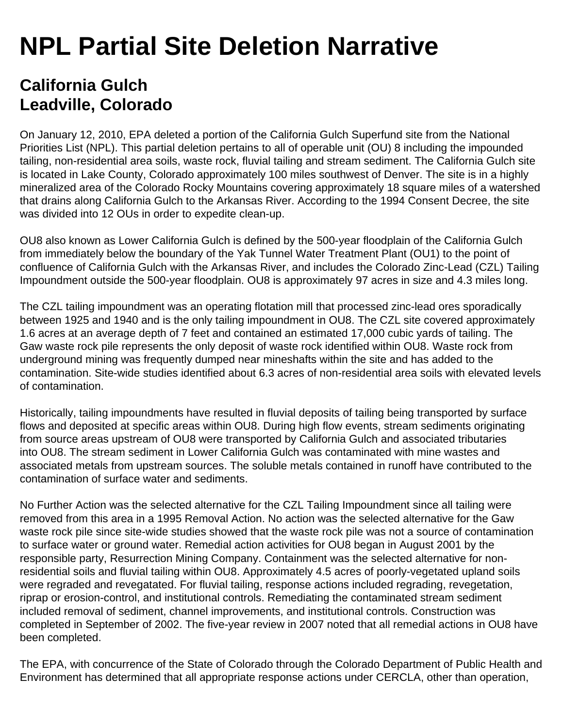## **NPL Partial Site Deletion Narrative**

## **California Gulch Leadville, Colorado**

On January 12, 2010, EPA deleted a portion of the California Gulch Superfund site from the National Priorities List (NPL). This partial deletion pertains to all of operable unit (OU) 8 including the impounded tailing, non-residential area soils, waste rock, fluvial tailing and stream sediment. The California Gulch site is located in Lake County, Colorado approximately 100 miles southwest of Denver. The site is in a highly mineralized area of the Colorado Rocky Mountains covering approximately 18 square miles of a watershed that drains along California Gulch to the Arkansas River. According to the 1994 Consent Decree, the site was divided into 12 OUs in order to expedite clean-up.

OU8 also known as Lower California Gulch is defined by the 500-year floodplain of the California Gulch from immediately below the boundary of the Yak Tunnel Water Treatment Plant (OU1) to the point of confluence of California Gulch with the Arkansas River, and includes the Colorado Zinc-Lead (CZL) Tailing Impoundment outside the 500-year floodplain. OU8 is approximately 97 acres in size and 4.3 miles long.

The CZL tailing impoundment was an operating flotation mill that processed zinc-lead ores sporadically between 1925 and 1940 and is the only tailing impoundment in OU8. The CZL site covered approximately 1.6 acres at an average depth of 7 feet and contained an estimated 17,000 cubic yards of tailing. The Gaw waste rock pile represents the only deposit of waste rock identified within OU8. Waste rock from underground mining was frequently dumped near mineshafts within the site and has added to the contamination. Site-wide studies identified about 6.3 acres of non-residential area soils with elevated levels of contamination.

Historically, tailing impoundments have resulted in fluvial deposits of tailing being transported by surface flows and deposited at specific areas within OU8. During high flow events, stream sediments originating from source areas upstream of OU8 were transported by California Gulch and associated tributaries into OU8. The stream sediment in Lower California Gulch was contaminated with mine wastes and associated metals from upstream sources. The soluble metals contained in runoff have contributed to the contamination of surface water and sediments.

No Further Action was the selected alternative for the CZL Tailing Impoundment since all tailing were removed from this area in a 1995 Removal Action. No action was the selected alternative for the Gaw waste rock pile since site-wide studies showed that the waste rock pile was not a source of contamination to surface water or ground water. Remedial action activities for OU8 began in August 2001 by the responsible party, Resurrection Mining Company. Containment was the selected alternative for nonresidential soils and fluvial tailing within OU8. Approximately 4.5 acres of poorly-vegetated upland soils were regraded and revegatated. For fluvial tailing, response actions included regrading, revegetation, riprap or erosion-control, and institutional controls. Remediating the contaminated stream sediment included removal of sediment, channel improvements, and institutional controls. Construction was completed in September of 2002. The five-year review in 2007 noted that all remedial actions in OU8 have been completed.

The EPA, with concurrence of the State of Colorado through the Colorado Department of Public Health and Environment has determined that all appropriate response actions under CERCLA, other than operation,